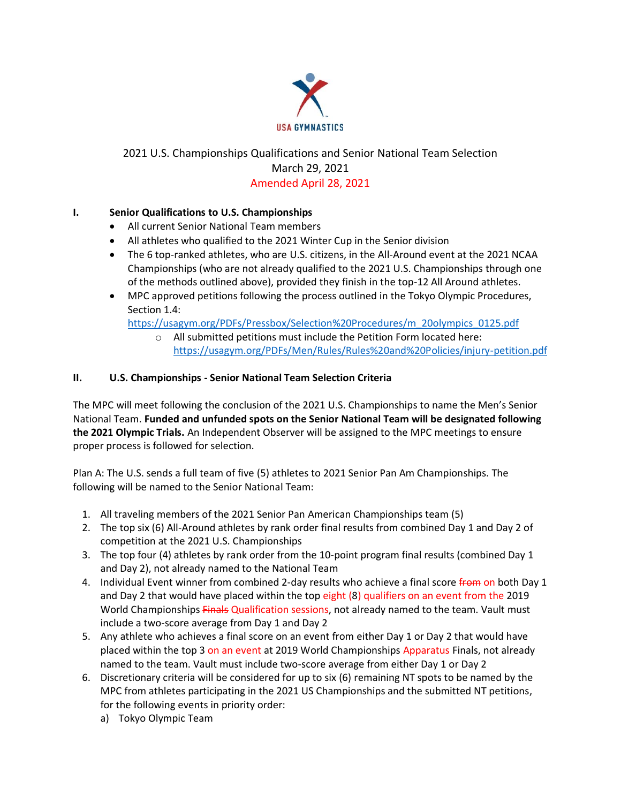

## 2021 U.S. Championships Qualifications and Senior National Team Selection March 29, 2021 Amended April 28, 2021

## **I. Senior Qualifications to U.S. Championships**

- All current Senior National Team members
- All athletes who qualified to the 2021 Winter Cup in the Senior division
- The 6 top-ranked athletes, who are U.S. citizens, in the All-Around event at the 2021 NCAA Championships (who are not already qualified to the 2021 U.S. Championships through one of the methods outlined above), provided they finish in the top-12 All Around athletes.
- MPC approved petitions following the process outlined in the Tokyo Olympic Procedures, Section 1.4:

[https://usagym.org/PDFs/Pressbox/Selection%20Procedures/m\\_20olympics\\_0125.pdf](https://usagym.org/PDFs/Pressbox/Selection%20Procedures/m_20olympics_0125.pdf)

o All submitted petitions must include the Petition Form located here: <https://usagym.org/PDFs/Men/Rules/Rules%20and%20Policies/injury-petition.pdf>

## **II. U.S. Championships - Senior National Team Selection Criteria**

The MPC will meet following the conclusion of the 2021 U.S. Championships to name the Men's Senior National Team. **Funded and unfunded spots on the Senior National Team will be designated following the 2021 Olympic Trials.** An Independent Observer will be assigned to the MPC meetings to ensure proper process is followed for selection.

Plan A: The U.S. sends a full team of five (5) athletes to 2021 Senior Pan Am Championships. The following will be named to the Senior National Team:

- 1. All traveling members of the 2021 Senior Pan American Championships team (5)
- 2. The top six (6) All-Around athletes by rank order final results from combined Day 1 and Day 2 of competition at the 2021 U.S. Championships
- 3. The top four (4) athletes by rank order from the 10-point program final results (combined Day 1 and Day 2), not already named to the National Team
- 4. Individual Event winner from combined 2-day results who achieve a final score from on both Day 1 and Day 2 that would have placed within the top eight (8) qualifiers on an event from the 2019 World Championships Finals Qualification sessions, not already named to the team. Vault must include a two-score average from Day 1 and Day 2
- 5. Any athlete who achieves a final score on an event from either Day 1 or Day 2 that would have placed within the top 3 on an event at 2019 World Championships Apparatus Finals, not already named to the team. Vault must include two-score average from either Day 1 or Day 2
- 6. Discretionary criteria will be considered for up to six (6) remaining NT spots to be named by the MPC from athletes participating in the 2021 US Championships and the submitted NT petitions, for the following events in priority order:
	- a) Tokyo Olympic Team